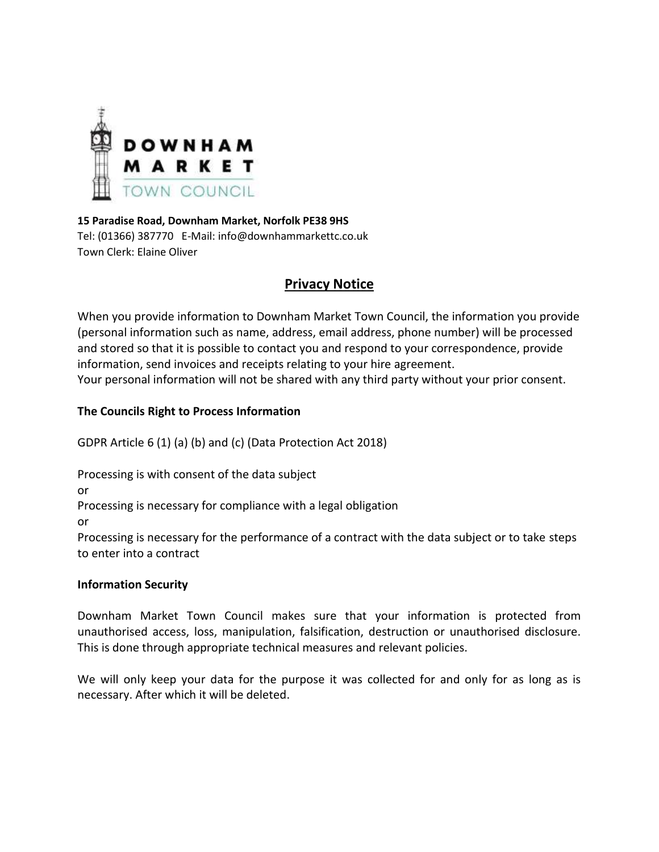

**15 Paradise Road, Downham Market, Norfolk PE38 9HS** Tel: (01366) 387770 E-Mail: info@downhammarkettc.co.uk Town Clerk: Elaine Oliver

# **Privacy Notice**

When you provide information to Downham Market Town Council, the information you provide (personal information such as name, address, email address, phone number) will be processed and stored so that it is possible to contact you and respond to your correspondence, provide information, send invoices and receipts relating to your hire agreement. Your personal information will not be shared with any third party without your prior consent.

# **The Councils Right to Process Information**

GDPR Article 6 (1) (a) (b) and (c) (Data Protection Act 2018)

Processing is with consent of the data subject

or

Processing is necessary for compliance with a legal obligation

or

Processing is necessary for the performance of a contract with the data subject or to take steps to enter into a contract

# **Information Security**

Downham Market Town Council makes sure that your information is protected from unauthorised access, loss, manipulation, falsification, destruction or unauthorised disclosure. This is done through appropriate technical measures and relevant policies.

We will only keep your data for the purpose it was collected for and only for as long as is necessary. After which it will be deleted.